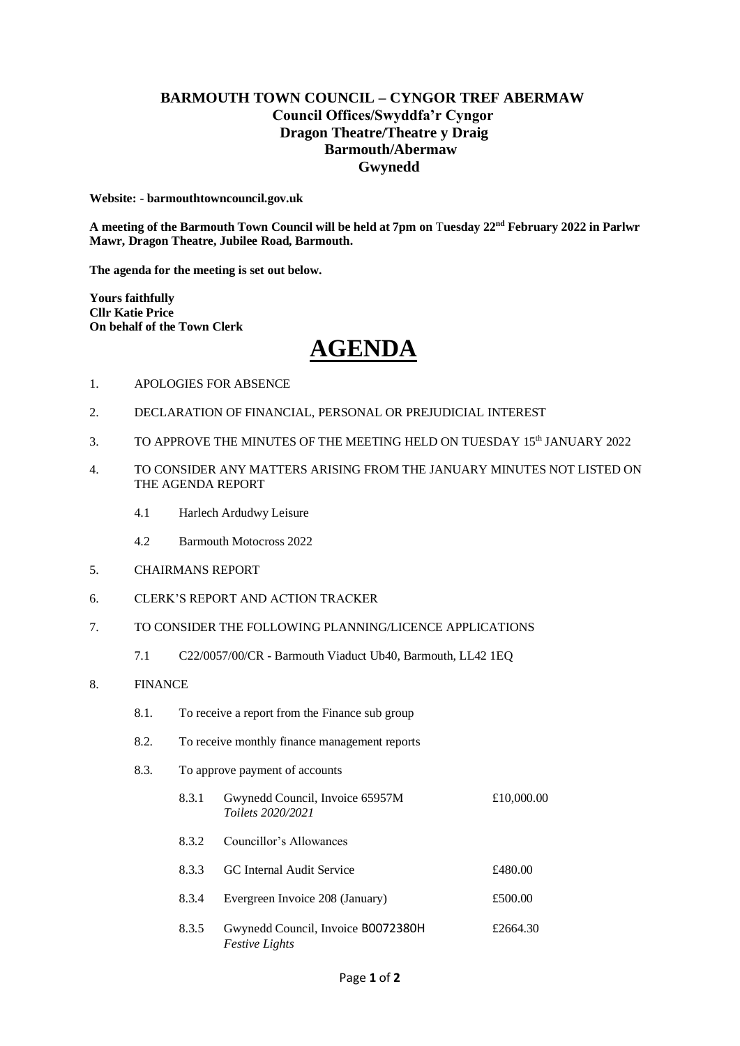# **BARMOUTH TOWN COUNCIL – CYNGOR TREF ABERMAW Council Offices/Swyddfa'r Cyngor Dragon Theatre/Theatre y Draig Barmouth/Abermaw Gwynedd**

**Website: - barmouthtowncouncil.gov.uk**

**A meeting of the Barmouth Town Council will be held at 7pm on** T**uesday 22 nd February 2022 in Parlwr Mawr, Dragon Theatre, Jubilee Road, Barmouth.**

**The agenda for the meeting is set out below.**

**Yours faithfully Cllr Katie Price On behalf of the Town Clerk** 

# **AGENDA**

- 1. APOLOGIES FOR ABSENCE
- 2. DECLARATION OF FINANCIAL, PERSONAL OR PREJUDICIAL INTEREST
- 3. TO APPROVE THE MINUTES OF THE MEETING HELD ON TUESDAY 15<sup>th</sup> JANUARY 2022
- 4. TO CONSIDER ANY MATTERS ARISING FROM THE JANUARY MINUTES NOT LISTED ON THE AGENDA REPORT
	- 4.1 Harlech Ardudwy Leisure
	- 4.2 Barmouth Motocross 2022
- 5. CHAIRMANS REPORT
- 6. CLERK'S REPORT AND ACTION TRACKER
- 7. TO CONSIDER THE FOLLOWING PLANNING/LICENCE APPLICATIONS
	- 7.1 C22/0057/00/CR Barmouth Viaduct Ub40, Barmouth, LL42 1EQ
- 8. FINANCE
	- 8.1. To receive a report from the Finance sub group
	- 8.2. To receive monthly finance management reports
	- 8.3. To approve payment of accounts

| 8.3.1 | Gwynedd Council, Invoice 65957M<br>Toilets 2020/2021        | £10,000.00 |
|-------|-------------------------------------------------------------|------------|
| 8.3.2 | Councillor's Allowances                                     |            |
| 8.3.3 | GC Internal Audit Service                                   | £480.00    |
| 8.3.4 | Evergreen Invoice 208 (January)                             | £500.00    |
| 8.3.5 | Gwynedd Council, Invoice B0072380H<br><i>Festive Lights</i> | £2664.30   |